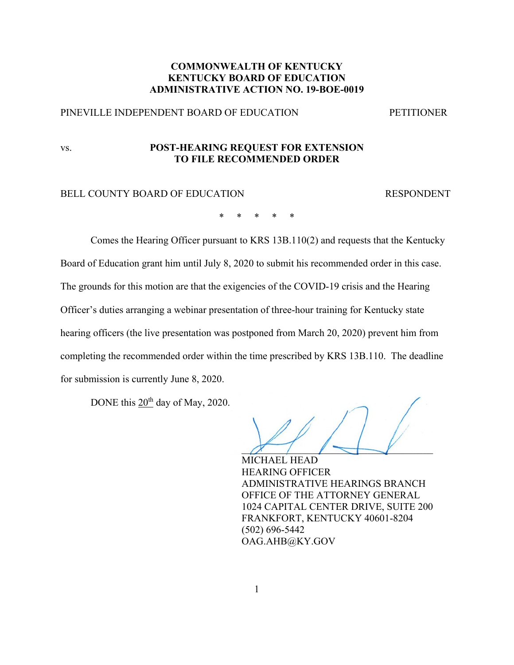# **COMMONWEALTH OF KENTUCKY KENTUCKY BOARD OF EDUCATION ADMINISTRATIVE ACTION NO. 19-BOE-0019**

# PINEVILLE INDEPENDENT BOARD OF EDUCATION PETITIONER

# vs. **POST-HEARING REQUEST FOR EXTENSION TO FILE RECOMMENDED ORDER**

#### BELL COUNTY BOARD OF EDUCATION RESPONDENT

\* \* \* \* \*

Comes the Hearing Officer pursuant to KRS 13B.110(2) and requests that the Kentucky Board of Education grant him until July 8, 2020 to submit his recommended order in this case. The grounds for this motion are that the exigencies of the COVID-19 crisis and the Hearing Officer's duties arranging a webinar presentation of three-hour training for Kentucky state hearing officers (the live presentation was postponed from March 20, 2020) prevent him from completing the recommended order within the time prescribed by KRS 13B.110. The deadline for submission is currently June 8, 2020.

DONE this 20<sup>th</sup> day of May, 2020.

 $\alpha$  ,  $\rightarrow$   $\rightarrow$ 

MICHAEL HEAD HEARING OFFICER ADMINISTRATIVE HEARINGS BRANCH OFFICE OF THE ATTORNEY GENERAL 1024 CAPITAL CENTER DRIVE, SUITE 200 FRANKFORT, KENTUCKY 40601-8204 (502) 696-5442 OAG.AHB@KY.GOV